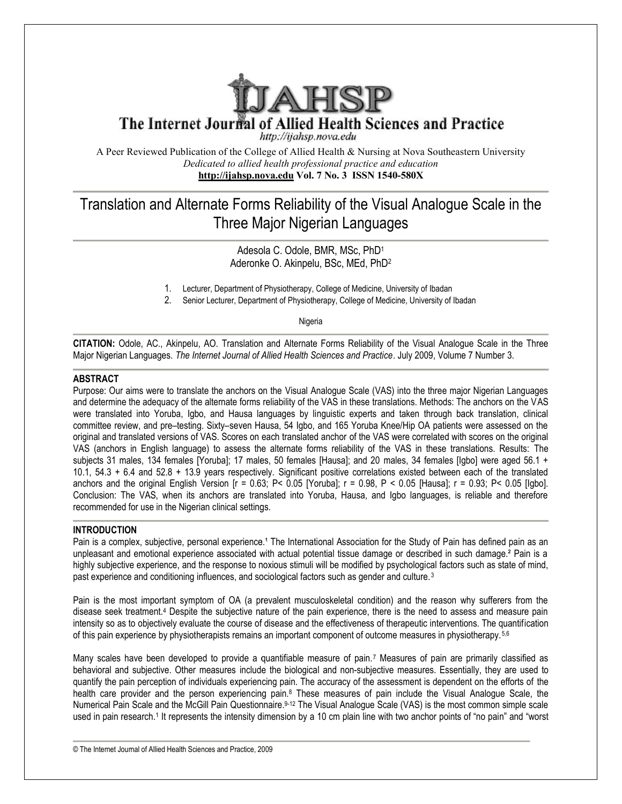

The Internet Journal of Allied Health Sciences and Practice

http://ijahsp.nova.edu

A Peer Reviewed Publication of the College of Allied Health & Nursing at Nova Southeastern University *Dedicated to allied health professional practice and education* **<http://ijahsp.nova.edu> Vol. 7 No. 3 ISSN 1540-580X** 

# Translation and Alternate Forms Reliability of the Visual Analogue Scale in the<br>Three Major Nigerian Languages Three Major Nigerian Languages

Adesola C. Odole, BMR, MSc, PhD<sup>1</sup> Aderonke O. Akinpelu, BSc, MEd, PhD<sup>2</sup>

1. Lecturer, Department of Physiotherapy, College of Medicine, University of Ibadan

1. Lecturer, Department of Physiotherapy, College of Medicine, University of Ibadan<br>2. Senior Lecturer, Department of Physiotherapy, College of Medicine, University of Ibadan

Nigeria

CITATION: Odole, AC., Akinpelu, AO. Translation and Alternate Forms Reliability of the Visual Analogue Scale in the Three Major Nigerian Languages. The Internet Journal of Allied Health Sciences and Practice. July 2009, Volume 7 Number 3.

## **ABSTRACT**

Purpose: Our aims were to translate the anchors on the Visual Analogue Scale (VAS) into the three major Nigerian Languages and determine the adequacy of the alternate forms reliability of the VAS in these translations. Methods: The anchors on the VAS were translated into Yoruba, Igbo, and Hausa languages by linguistic experts and taken through back translation, clinical committee review, and pre–testing. Sixty–seven Hausa, 54 Igbo, and 165 Yoruba Knee/Hip OA patients were assessed on the original and translated versions of VAS. Scores on each translated anchor of the VAS were correlated with scores on the original VAS (anchors in English language) to assess the alternate forms reliability of the VAS in these translations. Results: The VAS (anchors in English language) to assess the alternate forms reliability of the VAS in these translations. Results: The<br>subjects 31 males, 134 females [Yoruba]; 17 males, 50 females [Hausa]; and 20 males, 34 females [Ig 10.1, 54.3 + 6.4 and 52.8 + 13.9 years respectively. Significant positive correlations existed between each of the translated anchors and the original English Version [ $r = 0.63$ ; P< 0.05 [Yoruba];  $r = 0.98$ , P < 0.05 [Hausa];  $r = 0.93$ ; P< 0.05 [Igbo]. Conclusion: The VAS, when its anchors are translated into Yoruba, Hausa, and Igbo languages, is reliable and therefore recommended for use in the Nigerian clinical settings.

## **INTRODUCTION**

recommended for use in the Nigerian clinical settings.<br>INTRODUCTION<br>Pain is a complex, subjective, personal experience.<sup>1</sup> The International Association for the Study of Pain has defined pain as an unpleasant and emotional experience associated with actual potential tissue damage or described in such damage.<sup>2</sup> Pain is a highly subjective experience, and the response to noxious stimuli will be modified by psychological factors such as state of mind, past experience and conditioning influences, and sociological factors such as gender and culture.<sup>3</sup> 05 [Hausa];  $r = 0.93$ ;  $P < 0.05$  [lgbo].<br>languages, is reliable and therefore<br><br><br>Study of Pain has defined pain as an<br>described in such damage.<sup>2</sup> Pain is a<br>nological factors such as state of mind,<br>sulture.<sup>3</sup><br>d the reason

Pain is the most important symptom of OA (a prevalent musculoskeletal condition) and the reason why sufferers from the disease seek treatment.<sup>4</sup> Despite the subjective nature of the pain experience, there is the need to assess and measure pain disease seek treatment.4 Despite the subjective nature of the pain experience, there is the need to assess and measur<br>intensity so as to objectively evaluate the course of disease and the effectiveness of therapeutic inter of this pain experience by physiotherapists remains an important component of outcome measures in physiotherapy.<sup>5,6</sup>

Many scales have been developed to provide a quantifiable measure of pain.<sup>7</sup> Measures of pain are primarily classified as behavioral and subjective. Other measures include the biological and non-subjective measures. Essentially, they are used to quantify the pain perception of individuals experiencing pain. The accuracy of the assessment is dependent on the efforts of the health care provider and the person experiencing pain.<sup>8</sup> These measures of pain include the Visual Analogue Scale, the Numerical Pain Scale and the McGill Pain Questionnaire.<sup>9-12</sup> The Visual Analogue Scale (VAS) is the most common simple scale used in pain research.<sup>1</sup> It represents the intensity dimension by a 10 cm plain line with two anchor points of "no pain" and "worst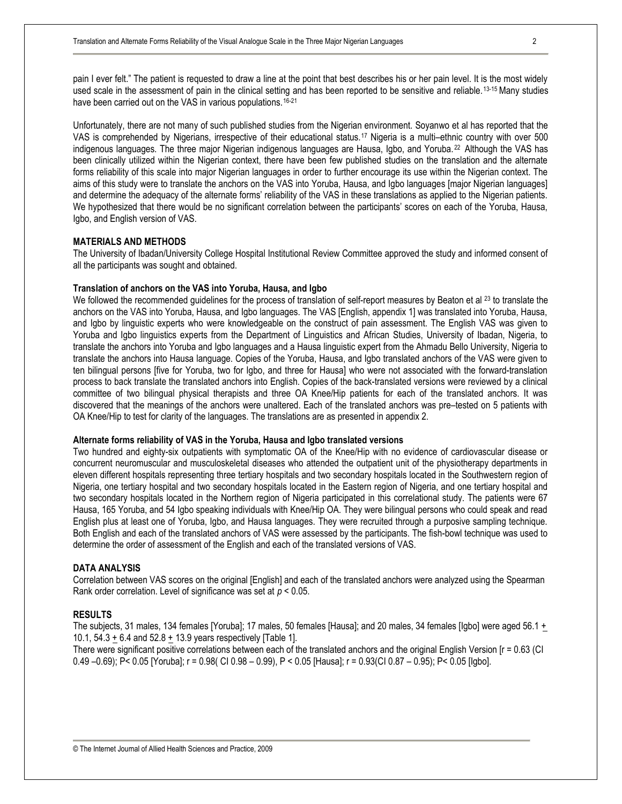pain I ever felt." The patient is requested to draw a line at the point that best describes his or her pain level. It is the most widely used scale in the assessment of pain in the clinical setting and has been reported to be sensitive and reliable.<sup>13-15</sup> Many studies have been carried out on the VAS in various populations.<sup>16-21</sup>

Unfortunately, there are not many of such published studies from the Nigerian environment. Soyanwo et al has reported that the VAS is comprehended by Nigerians, irrespective of their educational status.<sup>17</sup> Nigeria is a multi–ethnic country with over 500 indigenous languages. The three major Nigerian indigenous languages are Hausa, Igbo, and Yoruba.<sup>22</sup> Although the VAS has been clinically utilized within the Nigerian context, there have been few published studies on the translation and the alternate forms reliability of this scale into major Nigerian languages in order to further encourage its use within the Nigerian context. The aims of this study were to translate the anchors on the VAS into Yoruba, Hausa, and Igbo languages [major Nigerian languages] and determine the adequacy of the alternate forms' reliability of the VAS in these translations as applied to the Nigerian patients. We hypothesized that there would be no significant correlation between the participants' scores on each of the Yoruba, Hausa, Igbo, and English version of VAS.

## **MATERIALS AND METHODS**

The University of Ibadan/University College Hospital Institutional Review Committee approved the study and informed consent of all the participants was sought and obtained.

#### **Translation of anchors on the VAS into Yoruba, Hausa, and Igbo**

We followed the recommended guidelines for the process of translation of self-report measures by Beaton et al <sup>23</sup> to translate the anchors on the VAS into Yoruba, Hausa, and Igbo languages. The VAS [English, appendix 1] was translated into Yoruba, Hausa, and Igbo by linguistic experts who were knowledgeable on the construct of pain assessment. The English VAS was given to Yoruba and Igbo linguistics experts from the Department of Linguistics and African Studies, University of Ibadan, Nigeria, to translate the anchors into Yoruba and Igbo languages and a Hausa linguistic expert from the Ahmadu Bello University, Nigeria to translate the anchors into Hausa language. Copies of the Yoruba, Hausa, and Igbo translated anchors of the VAS were given to ten bilingual persons [five for Yoruba, two for Igbo, and three for Hausa] who were not associated with the forward-translation process to back translate the translated anchors into English. Copies of the back-translated versions were reviewed by a clinical committee of two bilingual physical therapists and three OA Knee/Hip patients for each of the translated anchors. It was discovered that the meanings of the anchors were unaltered. Each of the translated anchors was pre–tested on 5 patients with OA Knee/Hip to test for clarity of the languages. The translations are as presented in appendix 2.

## **Alternate forms reliability of VAS in the Yoruba, Hausa and Igbo translated versions**

Two hundred and eighty-six outpatients with symptomatic OA of the Knee/Hip with no evidence of cardiovascular disease or concurrent neuromuscular and musculoskeletal diseases who attended the outpatient unit of the physiotherapy departments in eleven different hospitals representing three tertiary hospitals and two secondary hospitals located in the Southwestern region of Nigeria, one tertiary hospital and two secondary hospitals located in the Eastern region of Nigeria, and one tertiary hospital and two secondary hospitals located in the Northern region of Nigeria participated in this correlational study. The patients were 67 Hausa, 165 Yoruba, and 54 Igbo speaking individuals with Knee/Hip OA. They were bilingual persons who could speak and read English plus at least one of Yoruba, Igbo, and Hausa languages. They were recruited through a purposive sampling technique. Both English and each of the translated anchors of VAS were assessed by the participants. The fish-bowl technique was used to determine the order of assessment of the English and each of the translated versions of VAS.

#### **DATA ANALYSIS**

Correlation between VAS scores on the original [English] and each of the translated anchors were analyzed using the Spearman Rank order correlation. Level of significance was set at *p* < 0.05.

## **RESULTS**

The subjects, 31 males, 134 females [Yoruba]; 17 males, 50 females [Hausa]; and 20 males, 34 females [Igbo] were aged 56.1 + 10.1, 54.3 + 6.4 and 52.8 + 13.9 years respectively [Table 1].

There were significant positive correlations between each of the translated anchors and the original English Version [r = 0.63 (CI 0.49 –0.69); P< 0.05 [Yoruba]; r = 0.98( CI 0.98 – 0.99), P < 0.05 [Hausa]; r = 0.93(CI 0.87 – 0.95); P< 0.05 [Igbo].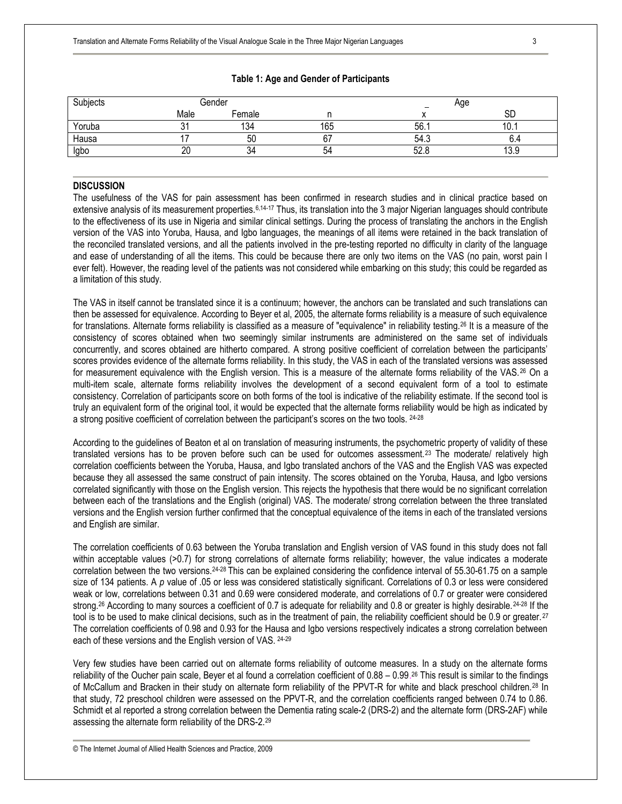| Subjects |          | Gender | Age |      |      |
|----------|----------|--------|-----|------|------|
|          | Male     | Female |     |      | SD   |
| Yoruba   |          | 134    | 165 | 56.  | U.   |
| Hausa    |          | 50     |     | 54.3 |      |
| Igbo     | nn<br>۷L | 54     | 54  | 52.  | 13.9 |

## **Table 1: Age and Gender of Participants**

## **DISCUSSION**

The usefulness of the VAS for pain assessment has been confirmed in research studies and in clinical practice based on extensive analysis of its measurement properties.<sup>6,14-17</sup> Thus, its translation into the 3 major Nigerian languages should contribute to the effectiveness of its use in Nigeria and similar clinical settings. During the process of translating the anchors in the English version of the VAS into Yoruba, Hausa, and Igbo languages, the meanings of all items were retained in the back translation of the reconciled translated versions, and all the patients involved in the pre-testing reported no difficulty in clarity of the language and ease of understanding of all the items. This could be because there are only two items on the VAS (no pain, worst pain I ever felt). However, the reading level of the patients was not considered while embarking on this study; this could be regarded as a limitation of this study.

The VAS in itself cannot be translated since it is a continuum; however, the anchors can be translated and such translations can then be assessed for equivalence. According to Beyer et al, 2005, the alternate forms reliability is a measure of such equivalence for translations. Alternate forms reliability is classified as a measure of "equivalence" in reliability testing.<sup>26</sup> It is a measure of the consistency of scores obtained when two seemingly similar instruments are administered on the same set of individuals concurrently, and scores obtained are hitherto compared. A strong positive coefficient of correlation between the participants' scores provides evidence of the alternate forms reliability. In this study, the VAS in each of the translated versions was assessed for measurement equivalence with the English version. This is a measure of the alternate forms reliability of the VAS.<sup>26</sup> On a multi-item scale, alternate forms reliability involves the development of a second equivalent form of a tool to estimate consistency. Correlation of participants score on both forms of the tool is indicative of the reliability estimate. If the second tool is truly an equivalent form of the original tool, it would be expected that the alternate forms reliability would be high as indicated by a strong positive coefficient of correlation between the participant's scores on the two tools. 24-28

According to the guidelines of Beaton et al on translation of measuring instruments, the psychometric property of validity of these translated versions has to be proven before such can be used for outcomes assessment.<sup>23</sup> The moderate/ relatively high correlation coefficients between the Yoruba, Hausa, and Igbo translated anchors of the VAS and the English VAS was expected because they all assessed the same construct of pain intensity. The scores obtained on the Yoruba, Hausa, and Igbo versions correlated significantly with those on the English version. This rejects the hypothesis that there would be no significant correlation between each of the translations and the English (original) VAS. The moderate/ strong correlation between the three translated versions and the English version further confirmed that the conceptual equivalence of the items in each of the translated versions and English are similar.

The correlation coefficients of 0.63 between the Yoruba translation and English version of VAS found in this study does not fall within acceptable values (>0.7) for strong correlations of alternate forms reliability; however, the value indicates a moderate correlation between the two versions.24-28 This can be explained considering the confidence interval of 55.30-61.75 on a sample size of 134 patients. A *p* value of .05 or less was considered statistically significant. Correlations of 0.3 or less were considered weak or low, correlations between 0.31 and 0.69 were considered moderate, and correlations of 0.7 or greater were considered strong.<sup>26</sup> According to many sources a coefficient of 0.7 is adequate for reliability and 0.8 or greater is highly desirable.<sup>24-28</sup> If the tool is to be used to make clinical decisions, such as in the treatment of pain, the reliability coefficient should be 0.9 or greater.<sup>27</sup> The correlation coefficients of 0.98 and 0.93 for the Hausa and Igbo versions respectively indicates a strong correlation between each of these versions and the English version of VAS. 24-29

Very few studies have been carried out on alternate forms reliability of outcome measures. In a study on the alternate forms reliability of the Oucher pain scale, Beyer et al found a correlation coefficient of 0.88 – 0.99.<sup>26</sup> This result is similar to the findings of McCallum and Bracken in their study on alternate form reliability of the PPVT-R for white and black preschool children.<sup>28</sup> In that study, 72 preschool children were assessed on the PPVT-R, and the correlation coefficients ranged between 0.74 to 0.86. Schmidt et al reported a strong correlation between the Dementia rating scale-2 (DRS-2) and the alternate form (DRS-2AF) while assessing the alternate form reliability of the DRS-2.<sup>29</sup>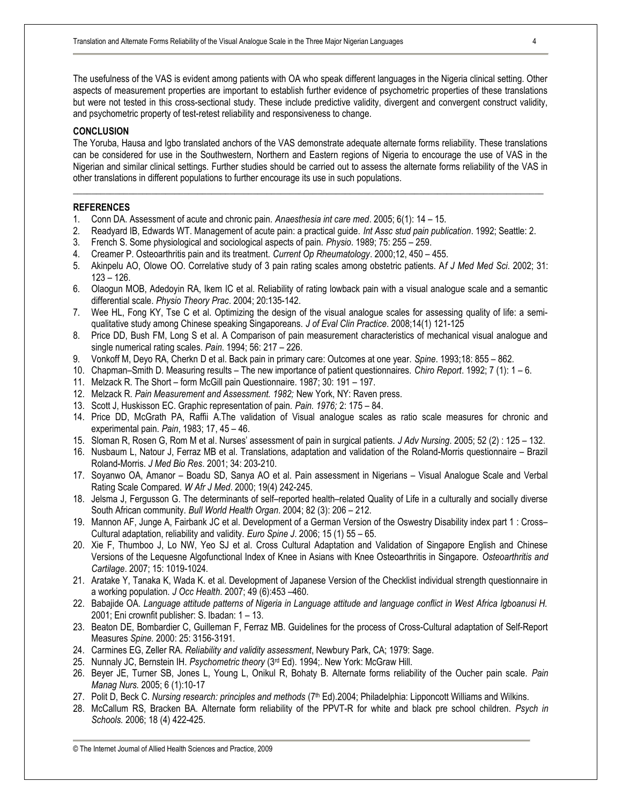The usefulness of the VAS is evident among patients with OA who speak different languages in the Nigeria clinical setting. Other aspects of measurement properties are important to establish further evidence of psychometric properties of these translations but were not tested in this cross-sectional study. These include predictive validity, divergent and convergent construct validity, and psychometric property of test-retest reliability and responsiveness to change.

#### **CONCLUSION**

The Yoruba, Hausa and Igbo translated anchors of the VAS demonstrate adequate alternate forms reliability. These translations can be considered for use in the Southwestern, Northern and Eastern regions of Nigeria to encourage the use of VAS in the Nigerian and similar clinical settings. Further studies should be carried out to assess the alternate forms reliability of the VAS in other translations in different populations to further encourage its use in such populations.

\_\_\_\_\_\_\_\_\_\_\_\_\_\_\_\_\_\_\_\_\_\_\_\_\_\_\_\_\_\_\_\_\_\_\_\_\_\_\_\_\_\_\_\_\_\_\_\_\_\_\_\_\_\_\_\_\_\_\_\_\_\_\_\_\_\_\_\_\_\_\_\_\_\_\_\_\_\_\_\_\_\_\_\_\_\_\_\_\_\_\_\_\_\_\_\_\_\_\_\_\_\_

## **REFERENCES**

- 1. Conn DA. Assessment of acute and chronic pain. *Anaesthesia int care med*. 2005; 6(1): 14 15.
- 2. Readyard IB, Edwards WT. Management of acute pain: a practical guide. *Int Assc stud pain publication*. 1992; Seattle: 2.
- 3. French S. Some physiological and sociological aspects of pain. *Physio*. 1989; 75: 255 259.
- 4. Creamer P. Osteoarthritis pain and its treatment. *Current Op Rheumatology*. 2000;12, 450 455.
- 5. Akinpelu AO, Olowe OO. Correlative study of 3 pain rating scales among obstetric patients. A*f J Med Med Sci*. 2002; 31: 123 – 126.
- 6. Olaogun MOB, Adedoyin RA, Ikem IC et al. Reliability of rating lowback pain with a visual analogue scale and a semantic differential scale. *Physio Theory Prac*. 2004; 20:135-142.
- 7. Wee HL, Fong KY, Tse C et al. Optimizing the design of the visual analogue scales for assessing quality of life: a semiqualitative study among Chinese speaking Singaporeans. *J of Eval Clin Practice*. 2008;14(1) 121-125
- 8. Price DD, Bush FM, Long S et al. A Comparison of pain measurement characteristics of mechanical visual analogue and single numerical rating scales. *Pain*. 1994; 56: 217 – 226.
- 9. Vonkoff M, Deyo RA, Cherkn D et al. Back pain in primary care: Outcomes at one year. *Spine*. 1993;18: 855 862.
- 10. Chapman–Smith D. Measuring results The new importance of patient questionnaires. *Chiro Report*. 1992; 7 (1): 1 6.
- 11. Melzack R. The Short form McGill pain Questionnaire. 1987; 30: 191 197.
- 12. Melzack R. *Pain Measurement and Assessment. 1982;* New York, NY: Raven press.
- 13. Scott J, Huskisson EC. Graphic representation of pain. *Pain. 1976;* 2: 175 84.
- 14. Price DD, McGrath PA, Raffii A.The validation of Visual analogue scales as ratio scale measures for chronic and experimental pain. *Pain*, 1983; 17, 45 – 46.
- 15. Sloman R, Rosen G, Rom M et al. Nurses' assessment of pain in surgical patients. *J Adv Nursing*. 2005; 52 (2) : 125 132.
- 16. Nusbaum L, Natour J, Ferraz MB et al. Translations, adaptation and validation of the Roland-Morris questionnaire Brazil Roland-Morris. *J Med Bio Res*. 2001; 34: 203-210.
- 17. Soyanwo OA, Amanor Boadu SD, Sanya AO et al. Pain assessment in Nigerians Visual Analogue Scale and Verbal Rating Scale Compared. *W Afr J Med*. 2000; 19(4) 242-245.
- 18. Jelsma J, Fergusson G. The determinants of self–reported health–related Quality of Life in a culturally and socially diverse South African community. *Bull World Health Organ*. 2004; 82 (3): 206 – 212.
- 19. Mannon AF, Junge A, Fairbank JC et al. Development of a German Version of the Oswestry Disability index part 1 : Cross– Cultural adaptation, reliability and validity. *Euro Spine J*. 2006; 15 (1) 55 – 65.
- 20. Xie F, Thumboo J, Lo NW, Yeo SJ et al. Cross Cultural Adaptation and Validation of Singapore English and Chinese Versions of the Lequesne Algofunctional Index of Knee in Asians with Knee Osteoarthritis in Singapore. *Osteoarthritis and Cartilage*. 2007; 15: 1019-1024.
- 21. Aratake Y, Tanaka K, Wada K. et al. Development of Japanese Version of the Checklist individual strength questionnaire in a working population. *J Occ Health*. 2007; 49 (6):453 –460.
- 22. Babajide OA. Language attitude patterns of Nigeria in Language attitude and language conflict in West Africa Igboanusi H. 2001; Eni crownfit publisher: S. Ibadan: 1 – 13.
- 23. Beaton DE, Bombardier C, Guilleman F, Ferraz MB. Guidelines for the process of Cross-Cultural adaptation of Self-Report Measures *Spine.* 2000: 25: 3156-3191.
- 24. Carmines EG, Zeller RA. *Reliability and validity assessment*, Newbury Park, CA; 1979: Sage.
- 25. Nunnaly JC, Bernstein IH. *Psychometric theory* (3rd Ed). 1994;. New York: McGraw Hill.
- 26. Beyer JE, Turner SB, Jones L, Young L, Onikul R, Bohaty B. Alternate forms reliability of the Oucher pain scale. *Pain Manag Nurs.* 2005; 6 (1):10-17
- 27. Polit D, Beck C. *Nursing research: principles and methods* (7<sup>th</sup> Ed).2004; Philadelphia: Lipponcott Williams and Wilkins.
- 28. McCallum RS, Bracken BA. Alternate form reliability of the PPVT-R for white and black pre school children. *Psych in Schools.* 2006; 18 (4) 422-425.

<sup>©</sup> The Internet Journal of Allied Health Sciences and Practice, 2009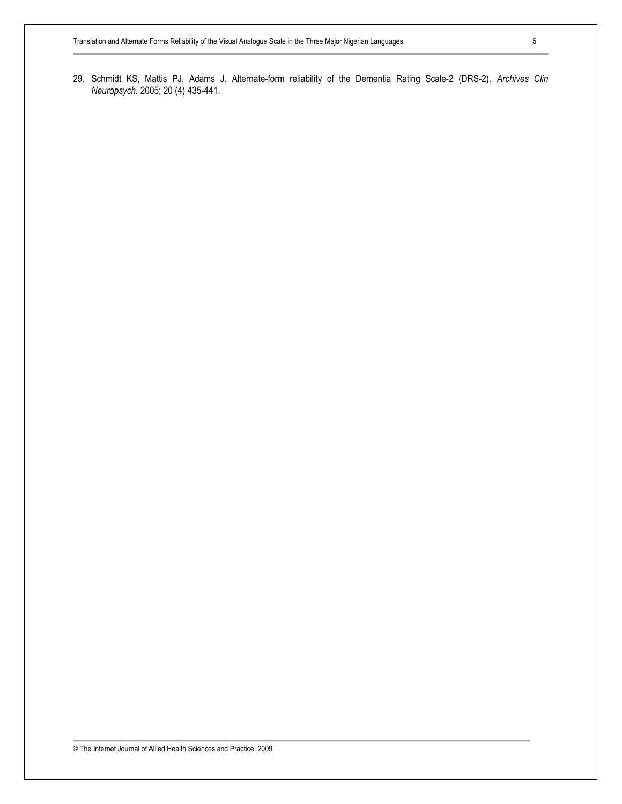29. Schmidt KS, Mattis PJ, Adams J. Alternate-form reliability of the Dementia Rating Scale-2 (DRS-2). *Archives Clin Neuropsych.* 2005; 20 (4) 435-441.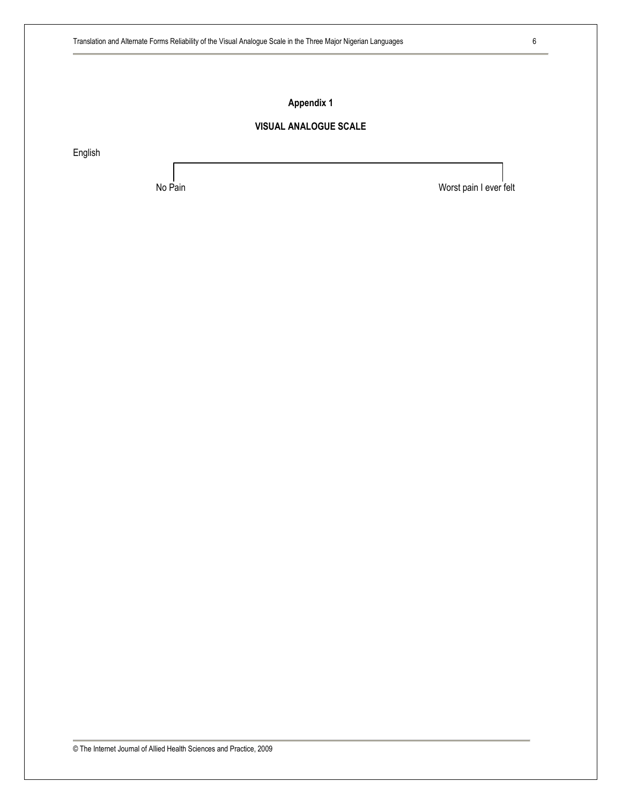## **Appendix 1**

## **VISUAL ANALOGUE SCALE**

English

No Pain No Pain No Pain No Pain No Pain I ever felt